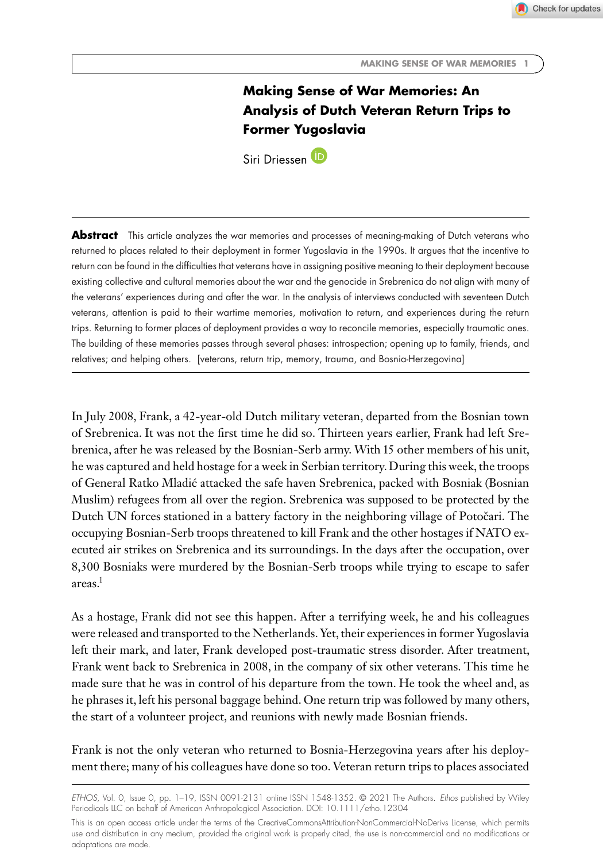Check for updates

# **Making Sense of War Memories: An Analysis of Dutch Veteran Return Trips to Former Yugoslavia**

Siri Driessen<sup>(D</sup>

**Abstract** This article analyzes the war memories and processes of meaning-making of Dutch veterans who returned to places related to their deployment in former Yugoslavia in the 1990s. It argues that the incentive to return can be found in the difficulties that veterans have in assigning positive meaning to their deployment because existing collective and cultural memories about the war and the genocide in Srebrenica do not align with many of the veterans' experiences during and after the war. In the analysis of interviews conducted with seventeen Dutch veterans, attention is paid to their wartime memories, motivation to return, and experiences during the return trips. Returning to former places of deployment provides a way to reconcile memories, especially traumatic ones. The building of these memories passes through several phases: introspection; opening up to family, friends, and relatives; and helping others. [veterans, return trip, memory, trauma, and Bosnia-Herzegovina]

In July 2008, Frank, a 42-year-old Dutch military veteran, departed from the Bosnian town of Srebrenica. It was not the first time he did so. Thirteen years earlier, Frank had left Srebrenica, after he was released by the Bosnian-Serb army. With 15 other members of his unit, he was captured and held hostage for a week in Serbian territory. During this week, the troops of General Ratko Mladic attacked the safe haven Srebrenica, packed with Bosniak (Bosnian ´ Muslim) refugees from all over the region. Srebrenica was supposed to be protected by the Dutch UN forces stationed in a battery factory in the neighboring village of Potočari. The occupying Bosnian-Serb troops threatened to kill Frank and the other hostages if NATO executed air strikes on Srebrenica and its surroundings. In the days after the occupation, over 8,300 Bosniaks were murdered by the Bosnian-Serb troops while trying to escape to safer areas.1

As a hostage, Frank did not see this happen. After a terrifying week, he and his colleagues were released and transported to the Netherlands. Yet, their experiences in former Yugoslavia left their mark, and later, Frank developed post-traumatic stress disorder. After treatment, Frank went back to Srebrenica in 2008, in the company of six other veterans. This time he made sure that he was in control of his departure from the town. He took the wheel and, as he phrases it, left his personal baggage behind. One return trip was followed by many others, the start of a volunteer project, and reunions with newly made Bosnian friends.

Frank is not the only veteran who returned to Bosnia-Herzegovina years after his deployment there; many of his colleagues have done so too. Veteran return trips to places associated

*ETHOS*, Vol. 0, Issue 0, pp. 1–19, ISSN 0091-2131 online ISSN 1548-1352. © 2021 The Authors. *Ethos* published by Wiley Periodicals LLC on behalf of American Anthropological Association. DOI: 10.1111/etho.12304

This is an open access article under the terms of the [CreativeCommonsAttribution-NonCommercial-NoDerivs](http://creativecommons.org/licenses/by-nc-nd/4.0/) License, which permits use and distribution in any medium, provided the original work is properly cited, the use is non-commercial and no modifications or adaptations are made.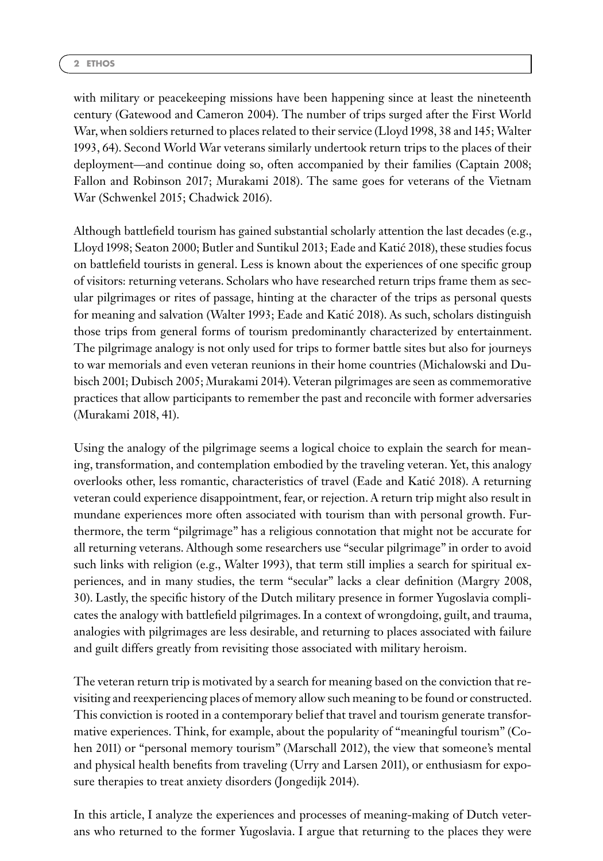with military or peacekeeping missions have been happening since at least the nineteenth century (Gatewood and Cameron 2004). The number of trips surged after the First World War, when soldiers returned to places related to their service (Lloyd 1998, 38 and 145; Walter 1993, 64). Second World War veterans similarly undertook return trips to the places of their deployment—and continue doing so, often accompanied by their families (Captain 2008; Fallon and Robinson 2017; Murakami 2018). The same goes for veterans of the Vietnam War (Schwenkel 2015; Chadwick 2016).

Although battlefield tourism has gained substantial scholarly attention the last decades (e.g., Lloyd 1998; Seaton 2000; Butler and Suntikul 2013; Eade and Katic 2018), these studies focus ´ on battlefield tourists in general. Less is known about the experiences of one specific group of visitors: returning veterans. Scholars who have researched return trips frame them as secular pilgrimages or rites of passage, hinting at the character of the trips as personal quests for meaning and salvation (Walter 1993; Eade and Katic 2018). As such, scholars distinguish ´ those trips from general forms of tourism predominantly characterized by entertainment. The pilgrimage analogy is not only used for trips to former battle sites but also for journeys to war memorials and even veteran reunions in their home countries (Michalowski and Dubisch 2001; Dubisch 2005; Murakami 2014). Veteran pilgrimages are seen as commemorative practices that allow participants to remember the past and reconcile with former adversaries (Murakami 2018, 41).

Using the analogy of the pilgrimage seems a logical choice to explain the search for meaning, transformation, and contemplation embodied by the traveling veteran. Yet, this analogy overlooks other, less romantic, characteristics of travel (Eade and Katic 2018). A returning ´ veteran could experience disappointment, fear, or rejection. A return trip might also result in mundane experiences more often associated with tourism than with personal growth. Furthermore, the term "pilgrimage" has a religious connotation that might not be accurate for all returning veterans. Although some researchers use "secular pilgrimage" in order to avoid such links with religion (e.g., Walter 1993), that term still implies a search for spiritual experiences, and in many studies, the term "secular" lacks a clear definition (Margry 2008, 30). Lastly, the specific history of the Dutch military presence in former Yugoslavia complicates the analogy with battlefield pilgrimages. In a context of wrongdoing, guilt, and trauma, analogies with pilgrimages are less desirable, and returning to places associated with failure and guilt differs greatly from revisiting those associated with military heroism.

The veteran return trip is motivated by a search for meaning based on the conviction that revisiting and reexperiencing places of memory allow such meaning to be found or constructed. This conviction is rooted in a contemporary belief that travel and tourism generate transformative experiences. Think, for example, about the popularity of "meaningful tourism" (Cohen 2011) or "personal memory tourism" (Marschall 2012), the view that someone's mental and physical health benefits from traveling (Urry and Larsen 2011), or enthusiasm for exposure therapies to treat anxiety disorders (Jongedijk 2014).

In this article, I analyze the experiences and processes of meaning-making of Dutch veterans who returned to the former Yugoslavia. I argue that returning to the places they were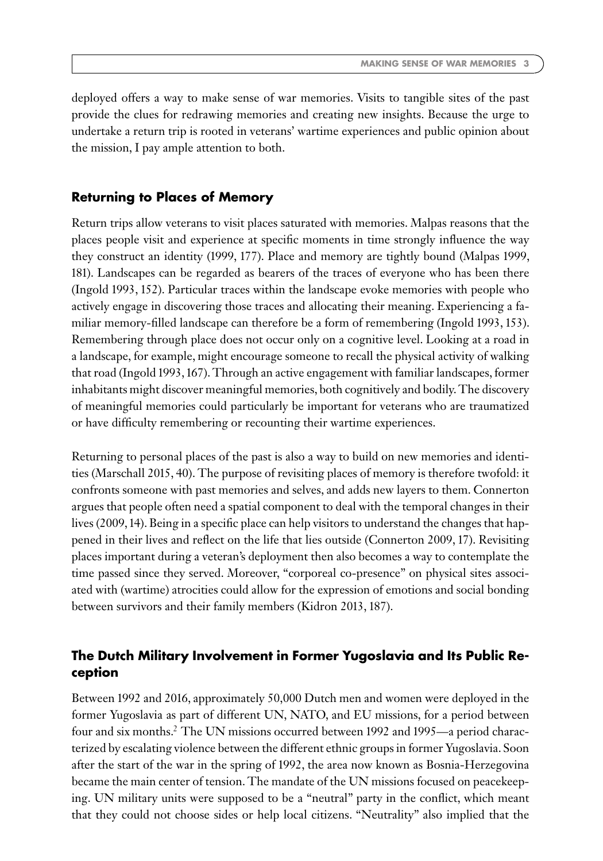deployed offers a way to make sense of war memories. Visits to tangible sites of the past provide the clues for redrawing memories and creating new insights. Because the urge to undertake a return trip is rooted in veterans' wartime experiences and public opinion about the mission, I pay ample attention to both.

### **Returning to Places of Memory**

Return trips allow veterans to visit places saturated with memories. Malpas reasons that the places people visit and experience at specific moments in time strongly influence the way they construct an identity (1999, 177). Place and memory are tightly bound (Malpas 1999, 181). Landscapes can be regarded as bearers of the traces of everyone who has been there (Ingold 1993, 152). Particular traces within the landscape evoke memories with people who actively engage in discovering those traces and allocating their meaning. Experiencing a familiar memory-filled landscape can therefore be a form of remembering (Ingold 1993, 153). Remembering through place does not occur only on a cognitive level. Looking at a road in a landscape, for example, might encourage someone to recall the physical activity of walking that road (Ingold 1993, 167). Through an active engagement with familiar landscapes, former inhabitants might discover meaningful memories, both cognitively and bodily. The discovery of meaningful memories could particularly be important for veterans who are traumatized or have difficulty remembering or recounting their wartime experiences.

Returning to personal places of the past is also a way to build on new memories and identities (Marschall 2015, 40). The purpose of revisiting places of memory is therefore twofold: it confronts someone with past memories and selves, and adds new layers to them. Connerton argues that people often need a spatial component to deal with the temporal changes in their lives (2009, 14). Being in a specific place can help visitors to understand the changes that happened in their lives and reflect on the life that lies outside (Connerton 2009, 17). Revisiting places important during a veteran's deployment then also becomes a way to contemplate the time passed since they served. Moreover, "corporeal co-presence" on physical sites associated with (wartime) atrocities could allow for the expression of emotions and social bonding between survivors and their family members (Kidron 2013, 187).

### **The Dutch Military Involvement in Former Yugoslavia and Its Public Reception**

Between 1992 and 2016, approximately 50,000 Dutch men and women were deployed in the former Yugoslavia as part of different UN, NATO, and EU missions, for a period between four and six months.2 The UN missions occurred between 1992 and 1995—a period characterized by escalating violence between the different ethnic groups in former Yugoslavia. Soon after the start of the war in the spring of 1992, the area now known as Bosnia-Herzegovina became the main center of tension. The mandate of the UN missions focused on peacekeeping. UN military units were supposed to be a "neutral" party in the conflict, which meant that they could not choose sides or help local citizens. "Neutrality" also implied that the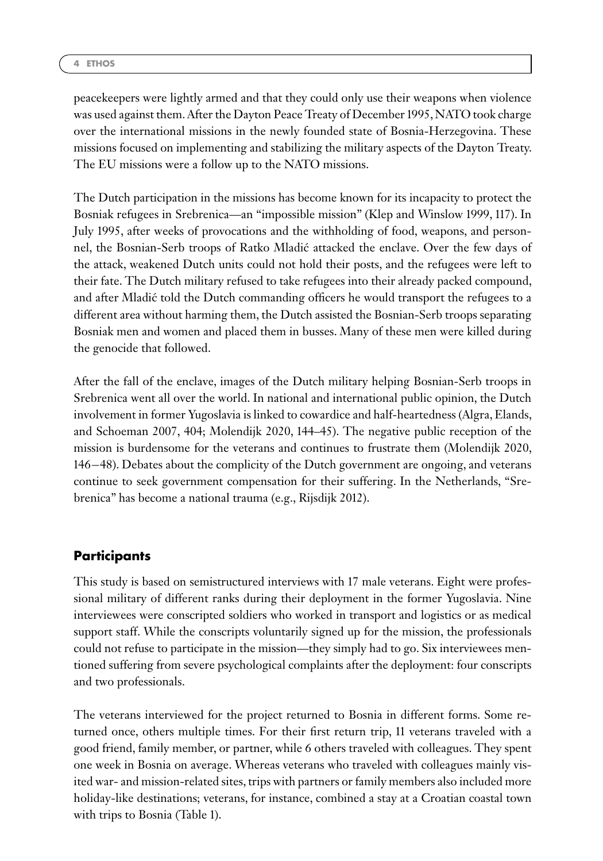peacekeepers were lightly armed and that they could only use their weapons when violence was used against them. After the Dayton Peace Treaty of December 1995, NATO took charge over the international missions in the newly founded state of Bosnia-Herzegovina. These missions focused on implementing and stabilizing the military aspects of the Dayton Treaty. The EU missions were a follow up to the NATO missions.

The Dutch participation in the missions has become known for its incapacity to protect the Bosniak refugees in Srebrenica—an "impossible mission" (Klep and Winslow 1999, 117). In July 1995, after weeks of provocations and the withholding of food, weapons, and personnel, the Bosnian-Serb troops of Ratko Mladic attacked the enclave. Over the few days of ´ the attack, weakened Dutch units could not hold their posts, and the refugees were left to their fate. The Dutch military refused to take refugees into their already packed compound, and after Mladic told the Dutch commanding officers he would transport the refugees to a ´ different area without harming them, the Dutch assisted the Bosnian-Serb troops separating Bosniak men and women and placed them in busses. Many of these men were killed during the genocide that followed.

After the fall of the enclave, images of the Dutch military helping Bosnian-Serb troops in Srebrenica went all over the world. In national and international public opinion, the Dutch involvement in former Yugoslavia is linked to cowardice and half-heartedness (Algra, Elands, and Schoeman 2007, 404; Molendijk 2020, 144–45). The negative public reception of the mission is burdensome for the veterans and continues to frustrate them (Molendijk 2020, 146−48). Debates about the complicity of the Dutch government are ongoing, and veterans continue to seek government compensation for their suffering. In the Netherlands, "Srebrenica" has become a national trauma (e.g., Rijsdijk 2012).

## **Participants**

This study is based on semistructured interviews with 17 male veterans. Eight were professional military of different ranks during their deployment in the former Yugoslavia. Nine interviewees were conscripted soldiers who worked in transport and logistics or as medical support staff. While the conscripts voluntarily signed up for the mission, the professionals could not refuse to participate in the mission—they simply had to go. Six interviewees mentioned suffering from severe psychological complaints after the deployment: four conscripts and two professionals.

The veterans interviewed for the project returned to Bosnia in different forms. Some returned once, others multiple times. For their first return trip, 11 veterans traveled with a good friend, family member, or partner, while 6 others traveled with colleagues. They spent one week in Bosnia on average. Whereas veterans who traveled with colleagues mainly visited war- and mission-related sites, trips with partners or family members also included more holiday-like destinations; veterans, for instance, combined a stay at a Croatian coastal town with trips to Bosnia (Table 1).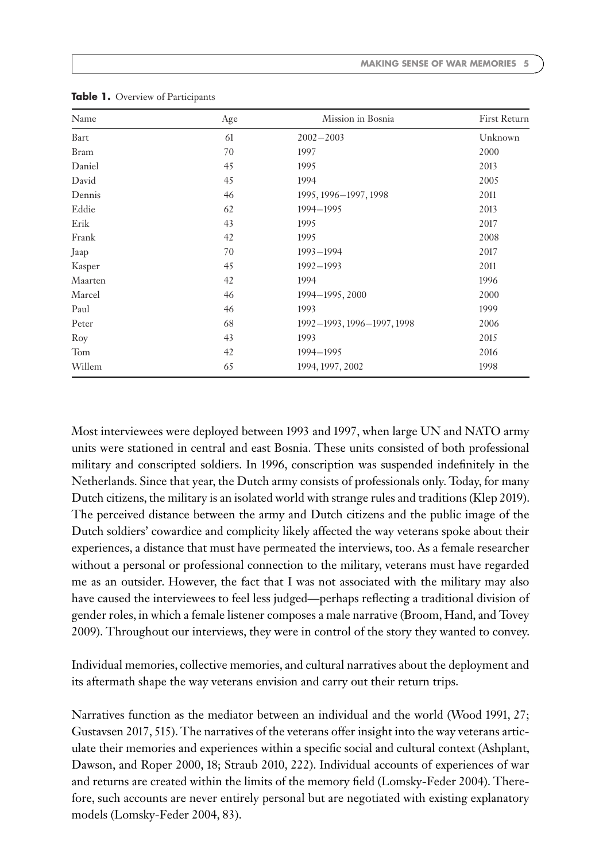| Name        | Age | Mission in Bosnia          | First Return |
|-------------|-----|----------------------------|--------------|
| Bart        | 61  | $2002 - 2003$              | Unknown      |
| <b>Bram</b> | 70  | 1997                       | 2000         |
| Daniel      | 45  | 1995                       | 2013         |
| David       | 45  | 1994                       | 2005         |
| Dennis      | 46  | 1995, 1996-1997, 1998      | 2011         |
| Eddie       | 62  | 1994-1995                  | 2013         |
| Erik        | 43  | 1995                       | 2017         |
| Frank       | 42  | 1995                       | 2008         |
| Jaap        | 70  | $1993 - 1994$              | 2017         |
| Kasper      | 45  | $1992 - 1993$              | 2011         |
| Maarten     | 42  | 1994                       | 1996         |
| Marcel      | 46  | 1994-1995, 2000            | 2000         |
| Paul        | 46  | 1993                       | 1999         |
| Peter       | 68  | 1992-1993, 1996-1997, 1998 | 2006         |
| Roy         | 43  | 1993                       | 2015         |
| Tom         | 42  | 1994-1995                  | 2016         |
| Willem      | 65  | 1994, 1997, 2002           | 1998         |

**Table 1.** Overview of Participants

Most interviewees were deployed between 1993 and 1997, when large UN and NATO army units were stationed in central and east Bosnia. These units consisted of both professional military and conscripted soldiers. In 1996, conscription was suspended indefinitely in the Netherlands. Since that year, the Dutch army consists of professionals only. Today, for many Dutch citizens, the military is an isolated world with strange rules and traditions (Klep 2019). The perceived distance between the army and Dutch citizens and the public image of the Dutch soldiers' cowardice and complicity likely affected the way veterans spoke about their experiences, a distance that must have permeated the interviews, too. As a female researcher without a personal or professional connection to the military, veterans must have regarded me as an outsider. However, the fact that I was not associated with the military may also have caused the interviewees to feel less judged—perhaps reflecting a traditional division of gender roles, in which a female listener composes a male narrative (Broom, Hand, and Tovey 2009). Throughout our interviews, they were in control of the story they wanted to convey.

Individual memories, collective memories, and cultural narratives about the deployment and its aftermath shape the way veterans envision and carry out their return trips.

Narratives function as the mediator between an individual and the world (Wood 1991, 27; Gustavsen 2017, 515). The narratives of the veterans offer insight into the way veterans articulate their memories and experiences within a specific social and cultural context (Ashplant, Dawson, and Roper 2000, 18; Straub 2010, 222). Individual accounts of experiences of war and returns are created within the limits of the memory field (Lomsky-Feder 2004). Therefore, such accounts are never entirely personal but are negotiated with existing explanatory models (Lomsky-Feder 2004, 83).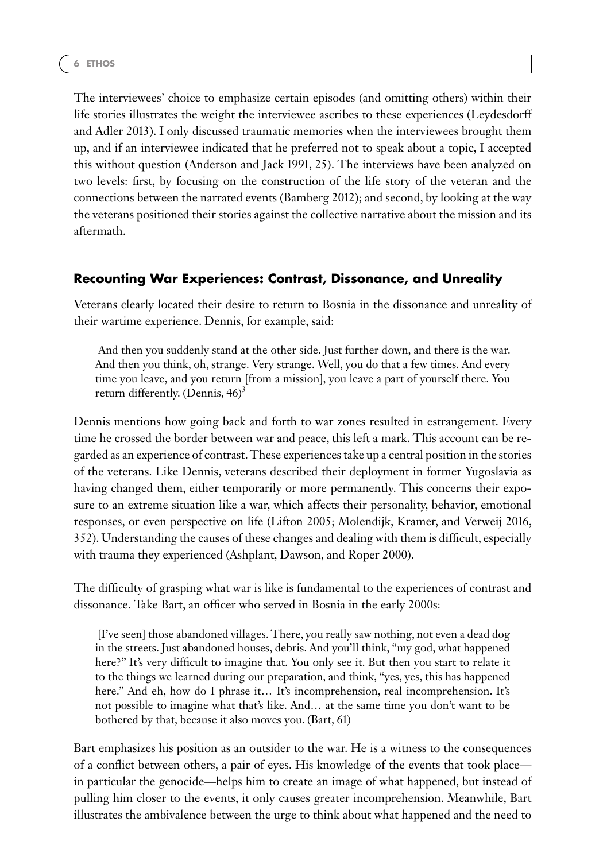The interviewees' choice to emphasize certain episodes (and omitting others) within their life stories illustrates the weight the interviewee ascribes to these experiences (Leydesdorff and Adler 2013). I only discussed traumatic memories when the interviewees brought them up, and if an interviewee indicated that he preferred not to speak about a topic, I accepted this without question (Anderson and Jack 1991, 25). The interviews have been analyzed on two levels: first, by focusing on the construction of the life story of the veteran and the connections between the narrated events (Bamberg 2012); and second, by looking at the way the veterans positioned their stories against the collective narrative about the mission and its aftermath.

### **Recounting War Experiences: Contrast, Dissonance, and Unreality**

Veterans clearly located their desire to return to Bosnia in the dissonance and unreality of their wartime experience. Dennis, for example, said:

And then you suddenly stand at the other side. Just further down, and there is the war. And then you think, oh, strange. Very strange. Well, you do that a few times. And every time you leave, and you return [from a mission], you leave a part of yourself there. You return differently. (Dennis,  $46$ )<sup>3</sup>

Dennis mentions how going back and forth to war zones resulted in estrangement. Every time he crossed the border between war and peace, this left a mark. This account can be regarded as an experience of contrast. These experiences take up a central position in the stories of the veterans. Like Dennis, veterans described their deployment in former Yugoslavia as having changed them, either temporarily or more permanently. This concerns their exposure to an extreme situation like a war, which affects their personality, behavior, emotional responses, or even perspective on life (Lifton 2005; Molendijk, Kramer, and Verweij 2016, 352). Understanding the causes of these changes and dealing with them is difficult, especially with trauma they experienced (Ashplant, Dawson, and Roper 2000).

The difficulty of grasping what war is like is fundamental to the experiences of contrast and dissonance. Take Bart, an officer who served in Bosnia in the early 2000s:

[I've seen] those abandoned villages. There, you really saw nothing, not even a dead dog in the streets. Just abandoned houses, debris. And you'll think, "my god, what happened here?" It's very difficult to imagine that. You only see it. But then you start to relate it to the things we learned during our preparation, and think, "yes, yes, this has happened here." And eh, how do I phrase it... It's incomprehension, real incomprehension. It's not possible to imagine what that's like. And… at the same time you don't want to be bothered by that, because it also moves you. (Bart, 61)

Bart emphasizes his position as an outsider to the war. He is a witness to the consequences of a conflict between others, a pair of eyes. His knowledge of the events that took place in particular the genocide—helps him to create an image of what happened, but instead of pulling him closer to the events, it only causes greater incomprehension. Meanwhile, Bart illustrates the ambivalence between the urge to think about what happened and the need to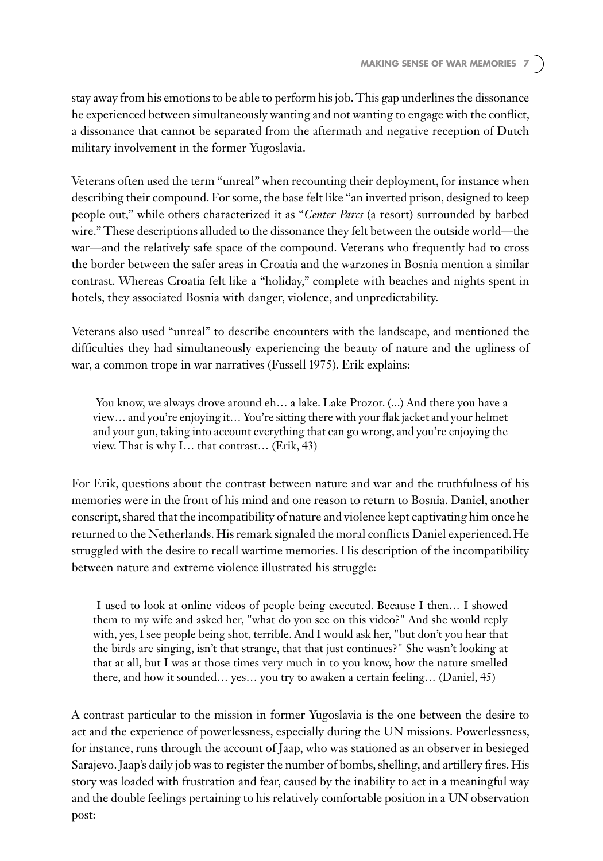stay away from his emotions to be able to perform his job. This gap underlines the dissonance he experienced between simultaneously wanting and not wanting to engage with the conflict, a dissonance that cannot be separated from the aftermath and negative reception of Dutch military involvement in the former Yugoslavia.

Veterans often used the term "unreal" when recounting their deployment, for instance when describing their compound. For some, the base felt like "an inverted prison, designed to keep people out," while others characterized it as "*Center Parcs* (a resort) surrounded by barbed wire." These descriptions alluded to the dissonance they felt between the outside world—the war—and the relatively safe space of the compound. Veterans who frequently had to cross the border between the safer areas in Croatia and the warzones in Bosnia mention a similar contrast. Whereas Croatia felt like a "holiday," complete with beaches and nights spent in hotels, they associated Bosnia with danger, violence, and unpredictability.

Veterans also used "unreal" to describe encounters with the landscape, and mentioned the difficulties they had simultaneously experiencing the beauty of nature and the ugliness of war, a common trope in war narratives (Fussell 1975). Erik explains:

You know, we always drove around eh... a lake. Lake Prozor. (...) And there you have a view… and you're enjoying it… You're sitting there with your flak jacket and your helmet and your gun, taking into account everything that can go wrong, and you're enjoying the view. That is why I… that contrast… (Erik, 43)

For Erik, questions about the contrast between nature and war and the truthfulness of his memories were in the front of his mind and one reason to return to Bosnia. Daniel, another conscript, shared that the incompatibility of nature and violence kept captivating him once he returned to the Netherlands. His remark signaled the moral conflicts Daniel experienced. He struggled with the desire to recall wartime memories. His description of the incompatibility between nature and extreme violence illustrated his struggle:

I used to look at online videos of people being executed. Because I then… I showed them to my wife and asked her, "what do you see on this video?" And she would reply with, yes, I see people being shot, terrible. And I would ask her, "but don't you hear that the birds are singing, isn't that strange, that that just continues?" She wasn't looking at that at all, but I was at those times very much in to you know, how the nature smelled there, and how it sounded… yes… you try to awaken a certain feeling… (Daniel, 45)

A contrast particular to the mission in former Yugoslavia is the one between the desire to act and the experience of powerlessness, especially during the UN missions. Powerlessness, for instance, runs through the account of Jaap, who was stationed as an observer in besieged Sarajevo. Jaap's daily job was to register the number of bombs, shelling, and artillery fires. His story was loaded with frustration and fear, caused by the inability to act in a meaningful way and the double feelings pertaining to his relatively comfortable position in a UN observation post: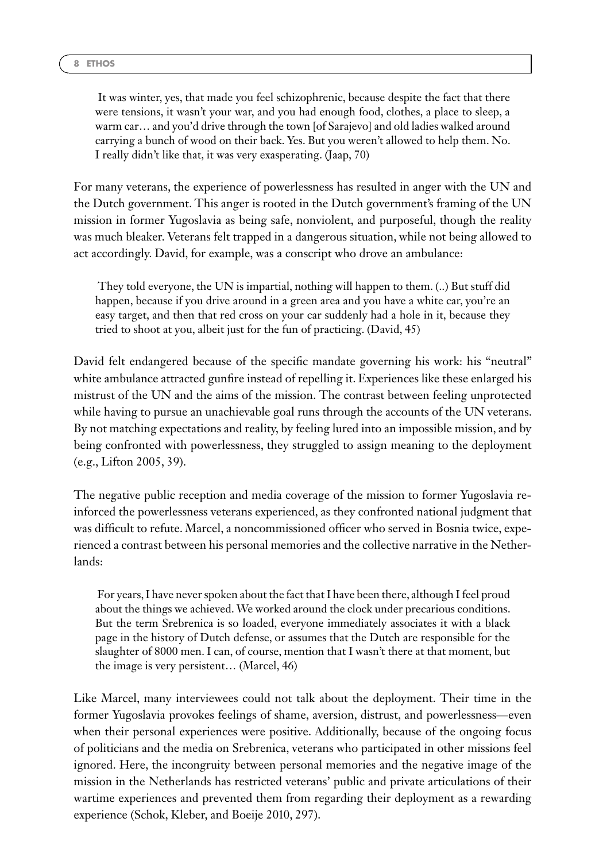It was winter, yes, that made you feel schizophrenic, because despite the fact that there were tensions, it wasn't your war, and you had enough food, clothes, a place to sleep, a warm car… and you'd drive through the town [of Sarajevo] and old ladies walked around carrying a bunch of wood on their back. Yes. But you weren't allowed to help them. No. I really didn't like that, it was very exasperating. (Jaap, 70)

For many veterans, the experience of powerlessness has resulted in anger with the UN and the Dutch government. This anger is rooted in the Dutch government's framing of the UN mission in former Yugoslavia as being safe, nonviolent, and purposeful, though the reality was much bleaker. Veterans felt trapped in a dangerous situation, while not being allowed to act accordingly. David, for example, was a conscript who drove an ambulance:

They told everyone, the UN is impartial, nothing will happen to them. (..) But stuff did happen, because if you drive around in a green area and you have a white car, you're an easy target, and then that red cross on your car suddenly had a hole in it, because they tried to shoot at you, albeit just for the fun of practicing. (David, 45)

David felt endangered because of the specific mandate governing his work: his "neutral" white ambulance attracted gunfire instead of repelling it. Experiences like these enlarged his mistrust of the UN and the aims of the mission. The contrast between feeling unprotected while having to pursue an unachievable goal runs through the accounts of the UN veterans. By not matching expectations and reality, by feeling lured into an impossible mission, and by being confronted with powerlessness, they struggled to assign meaning to the deployment (e.g., Lifton 2005, 39).

The negative public reception and media coverage of the mission to former Yugoslavia reinforced the powerlessness veterans experienced, as they confronted national judgment that was difficult to refute. Marcel, a noncommissioned officer who served in Bosnia twice, experienced a contrast between his personal memories and the collective narrative in the Netherlands:

For years, I have never spoken about the fact that I have been there, although I feel proud about the things we achieved.We worked around the clock under precarious conditions. But the term Srebrenica is so loaded, everyone immediately associates it with a black page in the history of Dutch defense, or assumes that the Dutch are responsible for the slaughter of 8000 men. I can, of course, mention that I wasn't there at that moment, but the image is very persistent… (Marcel, 46)

Like Marcel, many interviewees could not talk about the deployment. Their time in the former Yugoslavia provokes feelings of shame, aversion, distrust, and powerlessness—even when their personal experiences were positive. Additionally, because of the ongoing focus of politicians and the media on Srebrenica, veterans who participated in other missions feel ignored. Here, the incongruity between personal memories and the negative image of the mission in the Netherlands has restricted veterans' public and private articulations of their wartime experiences and prevented them from regarding their deployment as a rewarding experience (Schok, Kleber, and Boeije 2010, 297).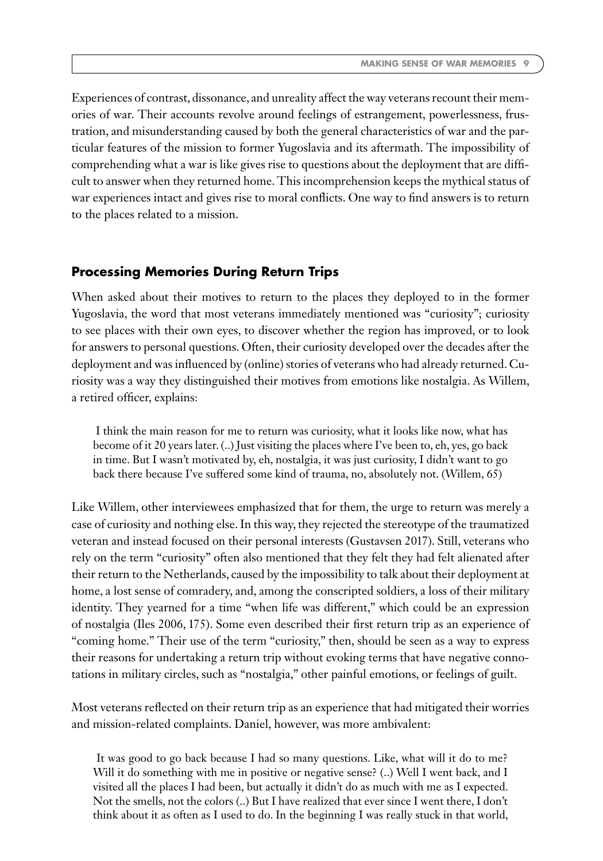Experiences of contrast, dissonance, and unreality affect the way veterans recount their memories of war. Their accounts revolve around feelings of estrangement, powerlessness, frustration, and misunderstanding caused by both the general characteristics of war and the particular features of the mission to former Yugoslavia and its aftermath. The impossibility of comprehending what a war is like gives rise to questions about the deployment that are difficult to answer when they returned home. This incomprehension keeps the mythical status of war experiences intact and gives rise to moral conflicts. One way to find answers is to return to the places related to a mission.

#### **Processing Memories During Return Trips**

When asked about their motives to return to the places they deployed to in the former Yugoslavia, the word that most veterans immediately mentioned was "curiosity"; curiosity to see places with their own eyes, to discover whether the region has improved, or to look for answers to personal questions. Often, their curiosity developed over the decades after the deployment and was influenced by (online) stories of veterans who had already returned. Curiosity was a way they distinguished their motives from emotions like nostalgia. As Willem, a retired officer, explains:

I think the main reason for me to return was curiosity, what it looks like now, what has become of it 20 years later. (..) Just visiting the places where I've been to, eh, yes, go back in time. But I wasn't motivated by, eh, nostalgia, it was just curiosity, I didn't want to go back there because I've suffered some kind of trauma, no, absolutely not. (Willem, 65)

Like Willem, other interviewees emphasized that for them, the urge to return was merely a case of curiosity and nothing else. In this way, they rejected the stereotype of the traumatized veteran and instead focused on their personal interests (Gustavsen 2017). Still, veterans who rely on the term "curiosity" often also mentioned that they felt they had felt alienated after their return to the Netherlands, caused by the impossibility to talk about their deployment at home, a lost sense of comradery, and, among the conscripted soldiers, a loss of their military identity. They yearned for a time "when life was different," which could be an expression of nostalgia (Iles 2006, 175). Some even described their first return trip as an experience of "coming home." Their use of the term "curiosity," then, should be seen as a way to express their reasons for undertaking a return trip without evoking terms that have negative connotations in military circles, such as "nostalgia," other painful emotions, or feelings of guilt.

Most veterans reflected on their return trip as an experience that had mitigated their worries and mission-related complaints. Daniel, however, was more ambivalent:

It was good to go back because I had so many questions. Like, what will it do to me? Will it do something with me in positive or negative sense? (..) Well I went back, and I visited all the places I had been, but actually it didn't do as much with me as I expected. Not the smells, not the colors (..) But I have realized that ever since I went there, I don't think about it as often as I used to do. In the beginning I was really stuck in that world,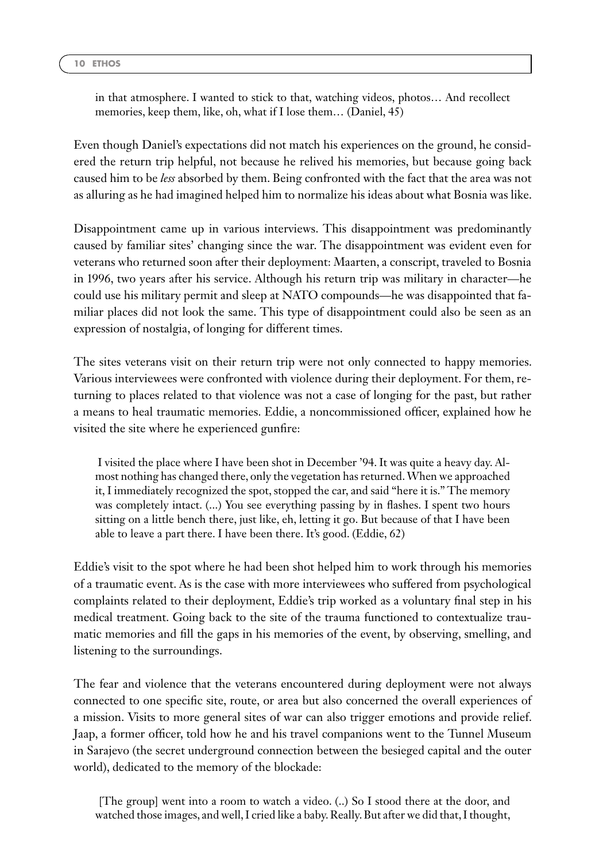in that atmosphere. I wanted to stick to that, watching videos, photos… And recollect memories, keep them, like, oh, what if I lose them… (Daniel, 45)

Even though Daniel's expectations did not match his experiences on the ground, he considered the return trip helpful, not because he relived his memories, but because going back caused him to be *less* absorbed by them. Being confronted with the fact that the area was not as alluring as he had imagined helped him to normalize his ideas about what Bosnia was like.

Disappointment came up in various interviews. This disappointment was predominantly caused by familiar sites' changing since the war. The disappointment was evident even for veterans who returned soon after their deployment: Maarten, a conscript, traveled to Bosnia in 1996, two years after his service. Although his return trip was military in character—he could use his military permit and sleep at NATO compounds—he was disappointed that familiar places did not look the same. This type of disappointment could also be seen as an expression of nostalgia, of longing for different times.

The sites veterans visit on their return trip were not only connected to happy memories. Various interviewees were confronted with violence during their deployment. For them, returning to places related to that violence was not a case of longing for the past, but rather a means to heal traumatic memories. Eddie, a noncommissioned officer, explained how he visited the site where he experienced gunfire:

I visited the place where I have been shot in December '94. It was quite a heavy day. Almost nothing has changed there, only the vegetation has returned.When we approached it, I immediately recognized the spot, stopped the car, and said "here it is." The memory was completely intact. (...) You see everything passing by in flashes. I spent two hours sitting on a little bench there, just like, eh, letting it go. But because of that I have been able to leave a part there. I have been there. It's good. (Eddie, 62)

Eddie's visit to the spot where he had been shot helped him to work through his memories of a traumatic event. As is the case with more interviewees who suffered from psychological complaints related to their deployment, Eddie's trip worked as a voluntary final step in his medical treatment. Going back to the site of the trauma functioned to contextualize traumatic memories and fill the gaps in his memories of the event, by observing, smelling, and listening to the surroundings.

The fear and violence that the veterans encountered during deployment were not always connected to one specific site, route, or area but also concerned the overall experiences of a mission. Visits to more general sites of war can also trigger emotions and provide relief. Jaap, a former officer, told how he and his travel companions went to the Tunnel Museum in Sarajevo (the secret underground connection between the besieged capital and the outer world), dedicated to the memory of the blockade:

[The group] went into a room to watch a video. (..) So I stood there at the door, and watched those images, and well, I cried like a baby. Really. But after we did that, I thought,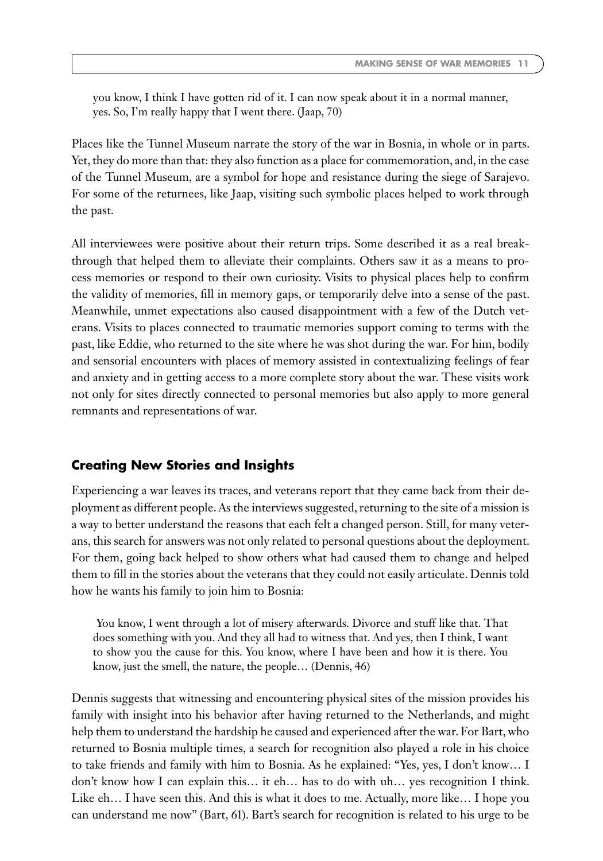you know, I think I have gotten rid of it. I can now speak about it in a normal manner, yes. So, I'm really happy that I went there. (Jaap, 70)

Places like the Tunnel Museum narrate the story of the war in Bosnia, in whole or in parts. Yet, they do more than that: they also function as a place for commemoration, and, in the case of the Tunnel Museum, are a symbol for hope and resistance during the siege of Sarajevo. For some of the returnees, like Jaap, visiting such symbolic places helped to work through the past.

All interviewees were positive about their return trips. Some described it as a real breakthrough that helped them to alleviate their complaints. Others saw it as a means to process memories or respond to their own curiosity. Visits to physical places help to confirm the validity of memories, fill in memory gaps, or temporarily delve into a sense of the past. Meanwhile, unmet expectations also caused disappointment with a few of the Dutch veterans. Visits to places connected to traumatic memories support coming to terms with the past, like Eddie, who returned to the site where he was shot during the war. For him, bodily and sensorial encounters with places of memory assisted in contextualizing feelings of fear and anxiety and in getting access to a more complete story about the war. These visits work not only for sites directly connected to personal memories but also apply to more general remnants and representations of war.

### **Creating New Stories and Insights**

Experiencing a war leaves its traces, and veterans report that they came back from their deployment as different people. As the interviews suggested, returning to the site of a mission is a way to better understand the reasons that each felt a changed person. Still, for many veterans, this search for answers was not only related to personal questions about the deployment. For them, going back helped to show others what had caused them to change and helped them to fill in the stories about the veterans that they could not easily articulate. Dennis told how he wants his family to join him to Bosnia:

You know, I went through a lot of misery afterwards. Divorce and stuff like that. That does something with you. And they all had to witness that. And yes, then I think, I want to show you the cause for this. You know, where I have been and how it is there. You know, just the smell, the nature, the people… (Dennis, 46)

Dennis suggests that witnessing and encountering physical sites of the mission provides his family with insight into his behavior after having returned to the Netherlands, and might help them to understand the hardship he caused and experienced after the war. For Bart, who returned to Bosnia multiple times, a search for recognition also played a role in his choice to take friends and family with him to Bosnia. As he explained: "Yes, yes, I don't know… I don't know how I can explain this… it eh… has to do with uh… yes recognition I think. Like eh… I have seen this. And this is what it does to me. Actually, more like… I hope you can understand me now" (Bart, 61). Bart's search for recognition is related to his urge to be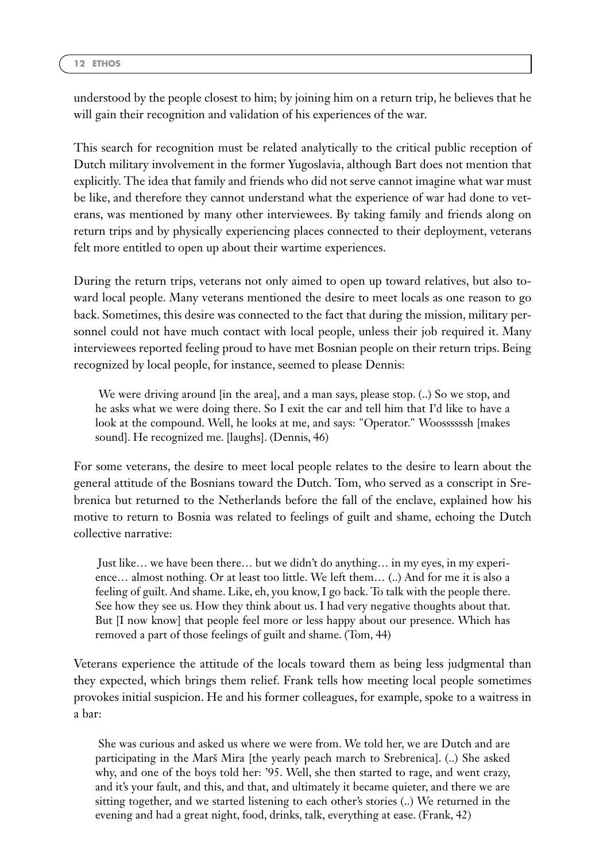understood by the people closest to him; by joining him on a return trip, he believes that he will gain their recognition and validation of his experiences of the war.

This search for recognition must be related analytically to the critical public reception of Dutch military involvement in the former Yugoslavia, although Bart does not mention that explicitly. The idea that family and friends who did not serve cannot imagine what war must be like, and therefore they cannot understand what the experience of war had done to veterans, was mentioned by many other interviewees. By taking family and friends along on return trips and by physically experiencing places connected to their deployment, veterans felt more entitled to open up about their wartime experiences.

During the return trips, veterans not only aimed to open up toward relatives, but also toward local people. Many veterans mentioned the desire to meet locals as one reason to go back. Sometimes, this desire was connected to the fact that during the mission, military personnel could not have much contact with local people, unless their job required it. Many interviewees reported feeling proud to have met Bosnian people on their return trips. Being recognized by local people, for instance, seemed to please Dennis:

We were driving around [in the area], and a man says, please stop. (..) So we stop, and he asks what we were doing there. So I exit the car and tell him that I'd like to have a look at the compound. Well, he looks at me, and says: "Operator." Woossssssh [makes sound]. He recognized me. [laughs]. (Dennis, 46)

For some veterans, the desire to meet local people relates to the desire to learn about the general attitude of the Bosnians toward the Dutch. Tom, who served as a conscript in Srebrenica but returned to the Netherlands before the fall of the enclave, explained how his motive to return to Bosnia was related to feelings of guilt and shame, echoing the Dutch collective narrative:

Just like… we have been there… but we didn't do anything… in my eyes, in my experience… almost nothing. Or at least too little. We left them… (..) And for me it is also a feeling of guilt. And shame. Like, eh, you know, I go back. To talk with the people there. See how they see us. How they think about us. I had very negative thoughts about that. But [I now know] that people feel more or less happy about our presence. Which has removed a part of those feelings of guilt and shame. (Tom, 44)

Veterans experience the attitude of the locals toward them as being less judgmental than they expected, which brings them relief. Frank tells how meeting local people sometimes provokes initial suspicion. He and his former colleagues, for example, spoke to a waitress in a bar:

She was curious and asked us where we were from. We told her, we are Dutch and are participating in the Marš Mira [the yearly peach march to Srebrenica]. (..) She asked why, and one of the boys told her: '95. Well, she then started to rage, and went crazy, and it's your fault, and this, and that, and ultimately it became quieter, and there we are sitting together, and we started listening to each other's stories (..) We returned in the evening and had a great night, food, drinks, talk, everything at ease. (Frank, 42)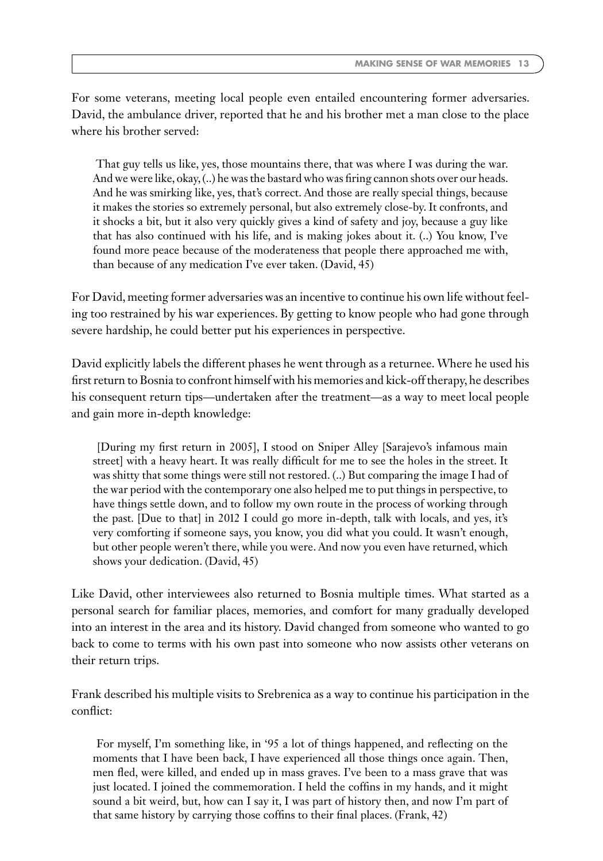For some veterans, meeting local people even entailed encountering former adversaries. David, the ambulance driver, reported that he and his brother met a man close to the place where his brother served:

That guy tells us like, yes, those mountains there, that was where I was during the war. And we were like, okay, (..) he was the bastard who was firing cannon shots over our heads. And he was smirking like, yes, that's correct. And those are really special things, because it makes the stories so extremely personal, but also extremely close-by. It confronts, and it shocks a bit, but it also very quickly gives a kind of safety and joy, because a guy like that has also continued with his life, and is making jokes about it. (..) You know, I've found more peace because of the moderateness that people there approached me with, than because of any medication I've ever taken. (David, 45)

For David, meeting former adversaries was an incentive to continue his own life without feeling too restrained by his war experiences. By getting to know people who had gone through severe hardship, he could better put his experiences in perspective.

David explicitly labels the different phases he went through as a returnee.Where he used his first return to Bosnia to confront himself with his memories and kick-off therapy, he describes his consequent return tips—undertaken after the treatment—as a way to meet local people and gain more in-depth knowledge:

[During my first return in 2005], I stood on Sniper Alley [Sarajevo's infamous main street] with a heavy heart. It was really difficult for me to see the holes in the street. It was shitty that some things were still not restored. (..) But comparing the image I had of the war period with the contemporary one also helped me to put things in perspective, to have things settle down, and to follow my own route in the process of working through the past. [Due to that] in 2012 I could go more in-depth, talk with locals, and yes, it's very comforting if someone says, you know, you did what you could. It wasn't enough, but other people weren't there, while you were. And now you even have returned, which shows your dedication. (David, 45)

Like David, other interviewees also returned to Bosnia multiple times. What started as a personal search for familiar places, memories, and comfort for many gradually developed into an interest in the area and its history. David changed from someone who wanted to go back to come to terms with his own past into someone who now assists other veterans on their return trips.

Frank described his multiple visits to Srebrenica as a way to continue his participation in the conflict:

For myself, I'm something like, in '95 a lot of things happened, and reflecting on the moments that I have been back, I have experienced all those things once again. Then, men fled, were killed, and ended up in mass graves. I've been to a mass grave that was just located. I joined the commemoration. I held the coffins in my hands, and it might sound a bit weird, but, how can I say it, I was part of history then, and now I'm part of that same history by carrying those coffins to their final places. (Frank, 42)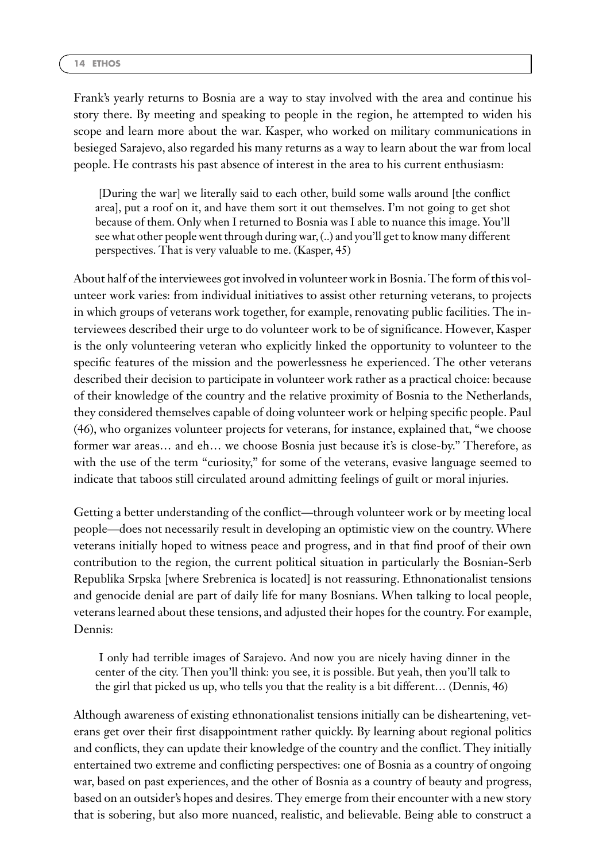Frank's yearly returns to Bosnia are a way to stay involved with the area and continue his story there. By meeting and speaking to people in the region, he attempted to widen his scope and learn more about the war. Kasper, who worked on military communications in besieged Sarajevo, also regarded his many returns as a way to learn about the war from local people. He contrasts his past absence of interest in the area to his current enthusiasm:

[During the war] we literally said to each other, build some walls around [the conflict area], put a roof on it, and have them sort it out themselves. I'm not going to get shot because of them. Only when I returned to Bosnia was I able to nuance this image. You'll see what other people went through during war, (..) and you'll get to know many different perspectives. That is very valuable to me. (Kasper, 45)

About half of the interviewees got involved in volunteer work in Bosnia. The form of this volunteer work varies: from individual initiatives to assist other returning veterans, to projects in which groups of veterans work together, for example, renovating public facilities. The interviewees described their urge to do volunteer work to be of significance. However, Kasper is the only volunteering veteran who explicitly linked the opportunity to volunteer to the specific features of the mission and the powerlessness he experienced. The other veterans described their decision to participate in volunteer work rather as a practical choice: because of their knowledge of the country and the relative proximity of Bosnia to the Netherlands, they considered themselves capable of doing volunteer work or helping specific people. Paul (46), who organizes volunteer projects for veterans, for instance, explained that, "we choose former war areas… and eh… we choose Bosnia just because it's is close-by." Therefore, as with the use of the term "curiosity," for some of the veterans, evasive language seemed to indicate that taboos still circulated around admitting feelings of guilt or moral injuries.

Getting a better understanding of the conflict—through volunteer work or by meeting local people—does not necessarily result in developing an optimistic view on the country. Where veterans initially hoped to witness peace and progress, and in that find proof of their own contribution to the region, the current political situation in particularly the Bosnian-Serb Republika Srpska [where Srebrenica is located] is not reassuring. Ethnonationalist tensions and genocide denial are part of daily life for many Bosnians. When talking to local people, veterans learned about these tensions, and adjusted their hopes for the country. For example, Dennis:

I only had terrible images of Sarajevo. And now you are nicely having dinner in the center of the city. Then you'll think: you see, it is possible. But yeah, then you'll talk to the girl that picked us up, who tells you that the reality is a bit different… (Dennis, 46)

Although awareness of existing ethnonationalist tensions initially can be disheartening, veterans get over their first disappointment rather quickly. By learning about regional politics and conflicts, they can update their knowledge of the country and the conflict. They initially entertained two extreme and conflicting perspectives: one of Bosnia as a country of ongoing war, based on past experiences, and the other of Bosnia as a country of beauty and progress, based on an outsider's hopes and desires. They emerge from their encounter with a new story that is sobering, but also more nuanced, realistic, and believable. Being able to construct a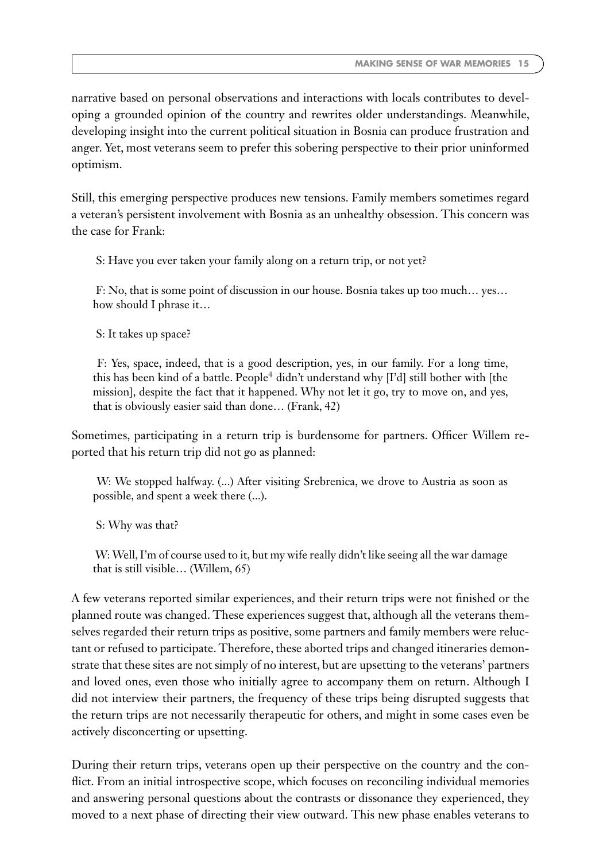narrative based on personal observations and interactions with locals contributes to developing a grounded opinion of the country and rewrites older understandings. Meanwhile, developing insight into the current political situation in Bosnia can produce frustration and anger. Yet, most veterans seem to prefer this sobering perspective to their prior uninformed optimism.

Still, this emerging perspective produces new tensions. Family members sometimes regard a veteran's persistent involvement with Bosnia as an unhealthy obsession. This concern was the case for Frank:

S: Have you ever taken your family along on a return trip, or not yet?

F: No, that is some point of discussion in our house. Bosnia takes up too much… yes… how should I phrase it…

S: It takes up space?

F: Yes, space, indeed, that is a good description, yes, in our family. For a long time, this has been kind of a battle. People<sup>4</sup> didn't understand why [I'd] still bother with [the mission], despite the fact that it happened. Why not let it go, try to move on, and yes, that is obviously easier said than done… (Frank, 42)

Sometimes, participating in a return trip is burdensome for partners. Officer Willem reported that his return trip did not go as planned:

W: We stopped halfway. (...) After visiting Srebrenica, we drove to Austria as soon as possible, and spent a week there (...).

S: Why was that?

W: Well, I'm of course used to it, but my wife really didn't like seeing all the war damage that is still visible… (Willem, 65)

A few veterans reported similar experiences, and their return trips were not finished or the planned route was changed. These experiences suggest that, although all the veterans themselves regarded their return trips as positive, some partners and family members were reluctant or refused to participate. Therefore, these aborted trips and changed itineraries demonstrate that these sites are not simply of no interest, but are upsetting to the veterans' partners and loved ones, even those who initially agree to accompany them on return. Although I did not interview their partners, the frequency of these trips being disrupted suggests that the return trips are not necessarily therapeutic for others, and might in some cases even be actively disconcerting or upsetting.

During their return trips, veterans open up their perspective on the country and the conflict. From an initial introspective scope, which focuses on reconciling individual memories and answering personal questions about the contrasts or dissonance they experienced, they moved to a next phase of directing their view outward. This new phase enables veterans to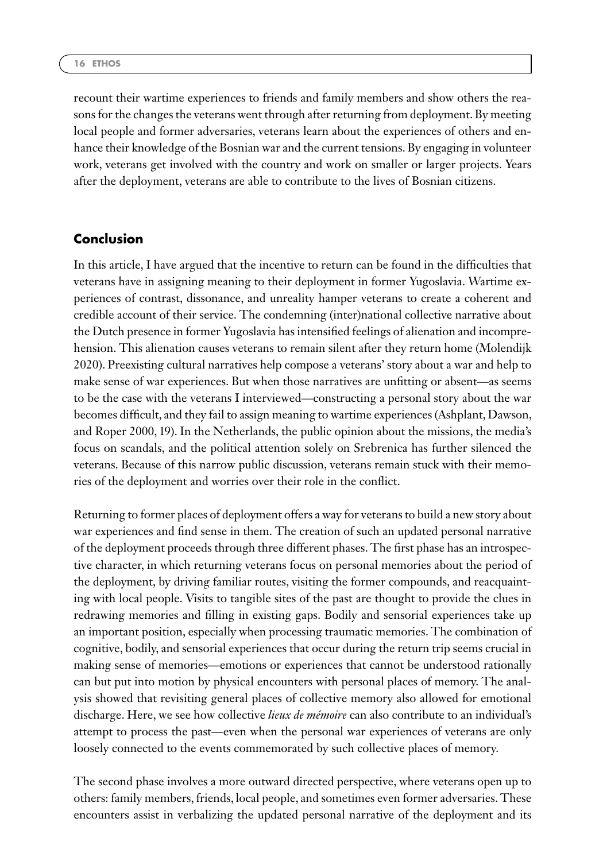recount their wartime experiences to friends and family members and show others the reasons for the changes the veterans went through after returning from deployment. By meeting local people and former adversaries, veterans learn about the experiences of others and enhance their knowledge of the Bosnian war and the current tensions. By engaging in volunteer work, veterans get involved with the country and work on smaller or larger projects. Years after the deployment, veterans are able to contribute to the lives of Bosnian citizens.

### **Conclusion**

In this article, I have argued that the incentive to return can be found in the difficulties that veterans have in assigning meaning to their deployment in former Yugoslavia. Wartime experiences of contrast, dissonance, and unreality hamper veterans to create a coherent and credible account of their service. The condemning (inter)national collective narrative about the Dutch presence in former Yugoslavia has intensified feelings of alienation and incomprehension. This alienation causes veterans to remain silent after they return home (Molendijk 2020). Preexisting cultural narratives help compose a veterans' story about a war and help to make sense of war experiences. But when those narratives are unfitting or absent—as seems to be the case with the veterans I interviewed—constructing a personal story about the war becomes difficult, and they fail to assign meaning to wartime experiences (Ashplant, Dawson, and Roper 2000, 19). In the Netherlands, the public opinion about the missions, the media's focus on scandals, and the political attention solely on Srebrenica has further silenced the veterans. Because of this narrow public discussion, veterans remain stuck with their memories of the deployment and worries over their role in the conflict.

Returning to former places of deployment offers a way for veterans to build a new story about war experiences and find sense in them. The creation of such an updated personal narrative of the deployment proceeds through three different phases. The first phase has an introspective character, in which returning veterans focus on personal memories about the period of the deployment, by driving familiar routes, visiting the former compounds, and reacquainting with local people. Visits to tangible sites of the past are thought to provide the clues in redrawing memories and filling in existing gaps. Bodily and sensorial experiences take up an important position, especially when processing traumatic memories. The combination of cognitive, bodily, and sensorial experiences that occur during the return trip seems crucial in making sense of memories—emotions or experiences that cannot be understood rationally can but put into motion by physical encounters with personal places of memory. The analysis showed that revisiting general places of collective memory also allowed for emotional discharge. Here, we see how collective *lieux de mémoire* can also contribute to an individual's attempt to process the past—even when the personal war experiences of veterans are only loosely connected to the events commemorated by such collective places of memory.

The second phase involves a more outward directed perspective, where veterans open up to others: family members, friends, local people, and sometimes even former adversaries. These encounters assist in verbalizing the updated personal narrative of the deployment and its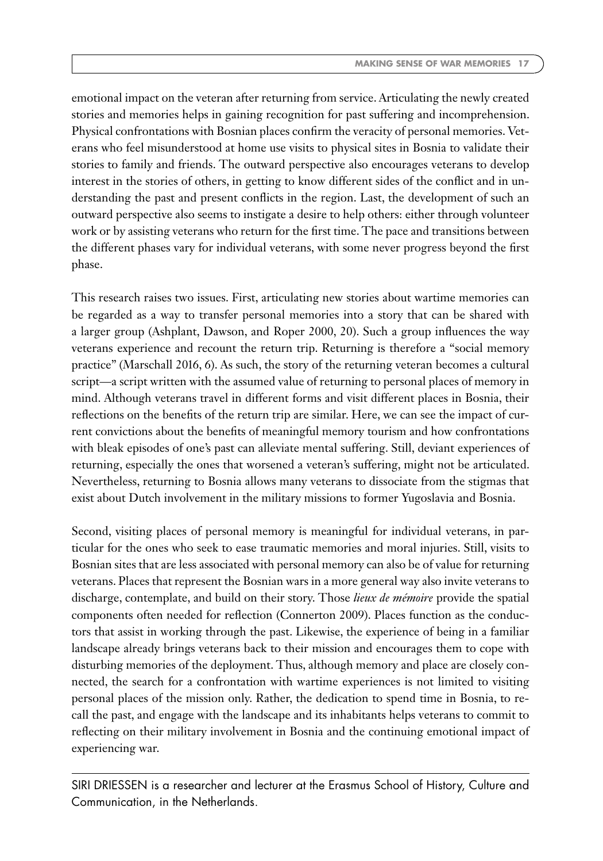emotional impact on the veteran after returning from service. Articulating the newly created stories and memories helps in gaining recognition for past suffering and incomprehension. Physical confrontations with Bosnian places confirm the veracity of personal memories. Veterans who feel misunderstood at home use visits to physical sites in Bosnia to validate their stories to family and friends. The outward perspective also encourages veterans to develop interest in the stories of others, in getting to know different sides of the conflict and in understanding the past and present conflicts in the region. Last, the development of such an outward perspective also seems to instigate a desire to help others: either through volunteer work or by assisting veterans who return for the first time. The pace and transitions between the different phases vary for individual veterans, with some never progress beyond the first phase.

This research raises two issues. First, articulating new stories about wartime memories can be regarded as a way to transfer personal memories into a story that can be shared with a larger group (Ashplant, Dawson, and Roper 2000, 20). Such a group influences the way veterans experience and recount the return trip. Returning is therefore a "social memory practice" (Marschall 2016, 6). As such, the story of the returning veteran becomes a cultural script—a script written with the assumed value of returning to personal places of memory in mind. Although veterans travel in different forms and visit different places in Bosnia, their reflections on the benefits of the return trip are similar. Here, we can see the impact of current convictions about the benefits of meaningful memory tourism and how confrontations with bleak episodes of one's past can alleviate mental suffering. Still, deviant experiences of returning, especially the ones that worsened a veteran's suffering, might not be articulated. Nevertheless, returning to Bosnia allows many veterans to dissociate from the stigmas that exist about Dutch involvement in the military missions to former Yugoslavia and Bosnia.

Second, visiting places of personal memory is meaningful for individual veterans, in particular for the ones who seek to ease traumatic memories and moral injuries. Still, visits to Bosnian sites that are less associated with personal memory can also be of value for returning veterans. Places that represent the Bosnian wars in a more general way also invite veterans to discharge, contemplate, and build on their story. Those *lieux de mémoire* provide the spatial components often needed for reflection (Connerton 2009). Places function as the conductors that assist in working through the past. Likewise, the experience of being in a familiar landscape already brings veterans back to their mission and encourages them to cope with disturbing memories of the deployment. Thus, although memory and place are closely connected, the search for a confrontation with wartime experiences is not limited to visiting personal places of the mission only. Rather, the dedication to spend time in Bosnia, to recall the past, and engage with the landscape and its inhabitants helps veterans to commit to reflecting on their military involvement in Bosnia and the continuing emotional impact of experiencing war.

SIRI DRIESSEN is a researcher and lecturer at the Erasmus School of History, Culture and Communication, in the Netherlands.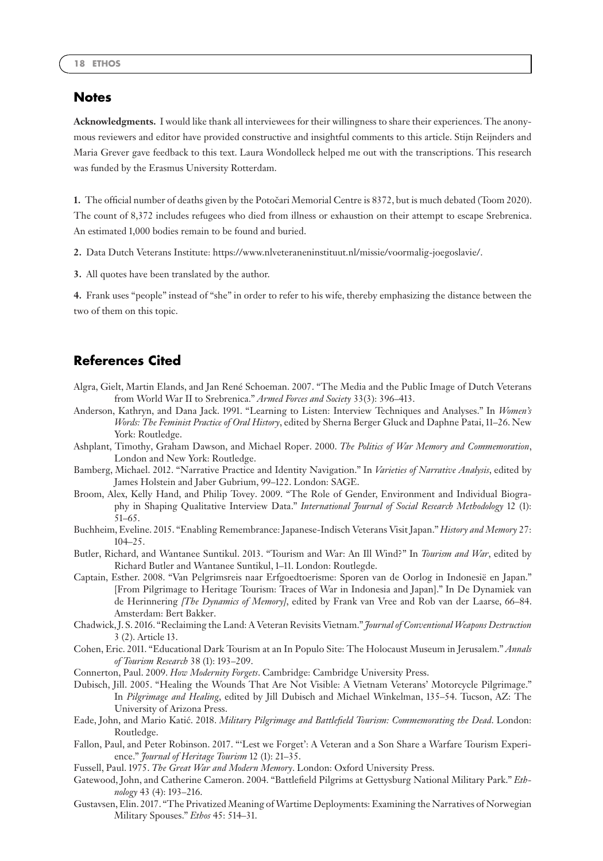#### **Notes**

**Acknowledgments.** I would like thank all interviewees for their willingness to share their experiences. The anonymous reviewers and editor have provided constructive and insightful comments to this article. Stijn Reijnders and Maria Grever gave feedback to this text. Laura Wondolleck helped me out with the transcriptions. This research was funded by the Erasmus University Rotterdam.

**1.** The official number of deaths given by the Potočari Memorial Centre is 8372, but is much debated (Toom 2020). The count of 8,372 includes refugees who died from illness or exhaustion on their attempt to escape Srebrenica. An estimated 1,000 bodies remain to be found and buried.

**2.** Data Dutch Veterans Institute: [https://www.nlveteraneninstituut.nl/missie/voormalig-joegoslavie/.](https://www.nlveteraneninstituut.nl/missie/voormalig-joegoslavie/)

**3.** All quotes have been translated by the author.

**4.** Frank uses "people" instead of "she" in order to refer to his wife, thereby emphasizing the distance between the two of them on this topic.

### **References Cited**

- Algra, Gielt, Martin Elands, and Jan René Schoeman. 2007. "The Media and the Public Image of Dutch Veterans from World War II to Srebrenica." *Armed Forces and Society* 33(3): 396–413.
- Anderson, Kathryn, and Dana Jack. 1991. "Learning to Listen: Interview Techniques and Analyses." In *Women's Words: The Feminist Practice of Oral History*, edited by Sherna Berger Gluck and Daphne Patai, 11–26. New York: Routledge.
- Ashplant, Timothy, Graham Dawson, and Michael Roper. 2000. *The Politics of War Memory and Commemoration*, London and New York: Routledge.
- Bamberg, Michael. 2012. "Narrative Practice and Identity Navigation." In *Varieties of Narrative Analysis*, edited by James Holstein and Jaber Gubrium, 99–122. London: SAGE.
- Broom, Alex, Kelly Hand, and Philip Tovey. 2009. "The Role of Gender, Environment and Individual Biography in Shaping Qualitative Interview Data." *International Journal of Social Research Methodology* 12 (1): 51–65.
- Buchheim, Eveline. 2015. "Enabling Remembrance: Japanese-Indisch Veterans Visit Japan." *History and Memory* 27: 104–25.
- Butler, Richard, and Wantanee Suntikul. 2013. "Tourism and War: An Ill Wind?" In *Tourism and War*, edited by Richard Butler and Wantanee Suntikul, 1–11. London: Routlegde.
- Captain, Esther. 2008. "Van Pelgrimsreis naar Erfgoedtoerisme: Sporen van de Oorlog in Indonesië en Japan." [From Pilgrimage to Heritage Tourism: Traces of War in Indonesia and Japan]." In De Dynamiek van de Herinnering *[The Dynamics of Memory]*, edited by Frank van Vree and Rob van der Laarse, 66–84. Amsterdam: Bert Bakker.
- Chadwick, J. S. 2016. "Reclaiming the Land: A Veteran Revisits Vietnam." *Journal of Conventional Weapons Destruction* 3 (2). Article 13.
- Cohen, Eric. 2011. "Educational Dark Tourism at an In Populo Site: The Holocaust Museum in Jerusalem." *Annals of Tourism Research* 38 (1): 193–209.
- Connerton, Paul. 2009. *How Modernity Forgets*. Cambridge: Cambridge University Press.
- Dubisch, Jill. 2005. "Healing the Wounds That Are Not Visible: A Vietnam Veterans' Motorcycle Pilgrimage." In *Pilgrimage and Healing*, edited by Jill Dubisch and Michael Winkelman, 135–54. Tucson, AZ: The University of Arizona Press.
- Eade, John, and Mario Katić. 2018. Military Pilgrimage and Battlefield Tourism: Commemorating the Dead. London: Routledge.
- Fallon, Paul, and Peter Robinson. 2017. "'Lest we Forget': A Veteran and a Son Share a Warfare Tourism Experience." *Journal of Heritage Tourism* 12 (1): 21–35.
- Fussell, Paul. 1975. *The Great War and Modern Memory*. London: Oxford University Press.
- Gatewood, John, and Catherine Cameron. 2004. "Battlefield Pilgrims at Gettysburg National Military Park." *Ethnology* 43 (4): 193–216.
- Gustavsen, Elin. 2017. "The Privatized Meaning of Wartime Deployments: Examining the Narratives of Norwegian Military Spouses." *Ethos* 45: 514–31.